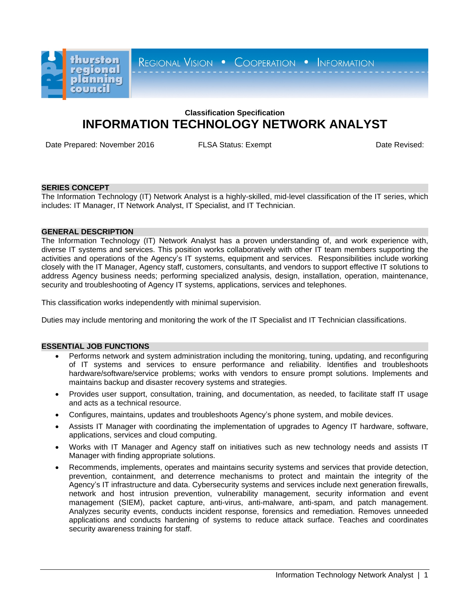

REGIONAL VISION . COOPERATION . INFORMATION

# **Classification Specification INFORMATION TECHNOLOGY NETWORK ANALYST**

Date Prepared: November 2016 FLSA Status: Exempt Contract Contract Contract Contract Date Revised:

## **SERIES CONCEPT**

The Information Technology (IT) Network Analyst is a highly-skilled, mid-level classification of the IT series, which includes: IT Manager, IT Network Analyst, IT Specialist, and IT Technician.

## **GENERAL DESCRIPTION**

The Information Technology (IT) Network Analyst has a proven understanding of, and work experience with, diverse IT systems and services. This position works collaboratively with other IT team members supporting the activities and operations of the Agency's IT systems, equipment and services. Responsibilities include working closely with the IT Manager, Agency staff, customers, consultants, and vendors to support effective IT solutions to address Agency business needs; performing specialized analysis, design, installation, operation, maintenance, security and troubleshooting of Agency IT systems, applications, services and telephones.

This classification works independently with minimal supervision.

Duties may include mentoring and monitoring the work of the IT Specialist and IT Technician classifications.

## **ESSENTIAL JOB FUNCTIONS**

- Performs network and system administration including the monitoring, tuning, updating, and reconfiguring of IT systems and services to ensure performance and reliability. Identifies and troubleshoots hardware/software/service problems; works with vendors to ensure prompt solutions. Implements and maintains backup and disaster recovery systems and strategies.
- Provides user support, consultation, training, and documentation, as needed, to facilitate staff IT usage and acts as a technical resource.
- Configures, maintains, updates and troubleshoots Agency's phone system, and mobile devices.
- Assists IT Manager with coordinating the implementation of upgrades to Agency IT hardware, software, applications, services and cloud computing.
- Works with IT Manager and Agency staff on initiatives such as new technology needs and assists IT Manager with finding appropriate solutions.
- Recommends, implements, operates and maintains security systems and services that provide detection, prevention, containment, and deterrence mechanisms to protect and maintain the integrity of the Agency's IT infrastructure and data. Cybersecurity systems and services include next generation firewalls, network and host intrusion prevention, vulnerability management, security information and event management (SIEM), packet capture, anti-virus, anti-malware, anti-spam, and patch management. Analyzes security events, conducts incident response, forensics and remediation. Removes unneeded applications and conducts hardening of systems to reduce attack surface. Teaches and coordinates security awareness training for staff.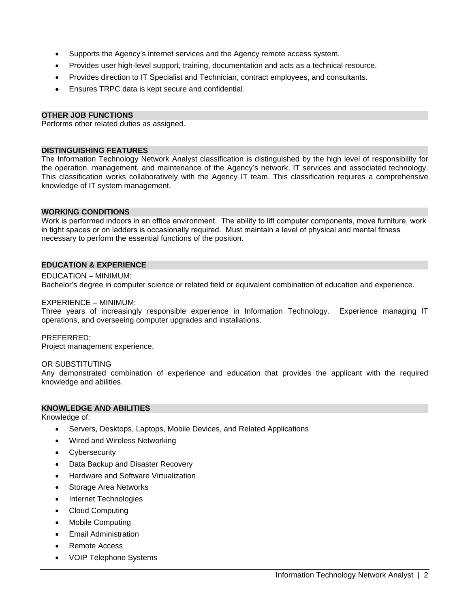- Supports the Agency's internet services and the Agency remote access system.
- Provides user high-level support, training, documentation and acts as a technical resource.
- Provides direction to IT Specialist and Technician, contract employees, and consultants.
- Ensures TRPC data is kept secure and confidential.

#### **OTHER JOB FUNCTIONS**

Performs other related duties as assigned.

#### **DISTINGUISHING FEATURES**

The Information Technology Network Analyst classification is distinguished by the high level of responsibility for the operation, management, and maintenance of the Agency's network, IT services and associated technology. This classification works collaboratively with the Agency IT team. This classification requires a comprehensive knowledge of IT system management.

#### **WORKING CONDITIONS**

Work is performed indoors in an office environment. The ability to lift computer components, move furniture, work in tight spaces or on ladders is occasionally required. Must maintain a level of physical and mental fitness necessary to perform the essential functions of the position.

#### **EDUCATION & EXPERIENCE**

EDUCATION – MINIMUM: Bachelor's degree in computer science or related field or equivalent combination of education and experience.

#### EXPERIENCE – MINIMUM:

Three years of increasingly responsible experience in Information Technology. Experience managing IT operations, and overseeing computer upgrades and installations.

### PREFERRED:

Project management experience.

#### OR SUBSTITUTING

Any demonstrated combination of experience and education that provides the applicant with the required knowledge and abilities.

#### **KNOWLEDGE AND ABILITIES**

Knowledge of:

- Servers, Desktops, Laptops, Mobile Devices, and Related Applications
- Wired and Wireless Networking
- **Cybersecurity**
- Data Backup and Disaster Recovery
- Hardware and Software Virtualization
- Storage Area Networks
- Internet Technologies
- Cloud Computing
- Mobile Computing
- Email Administration
- Remote Access
- VOIP Telephone Systems